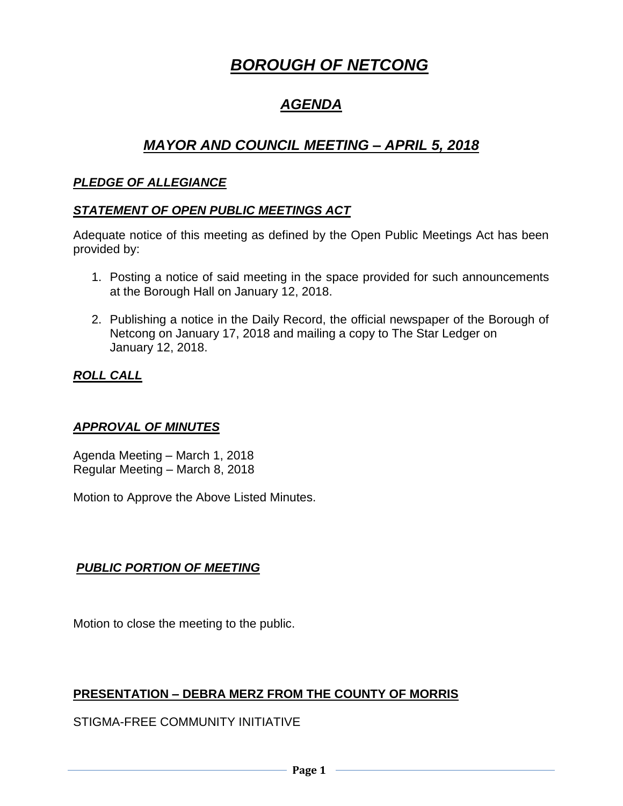# *BOROUGH OF NETCONG*

# *AGENDA*

# *MAYOR AND COUNCIL MEETING – APRIL 5, 2018*

# *PLEDGE OF ALLEGIANCE*

### *STATEMENT OF OPEN PUBLIC MEETINGS ACT*

Adequate notice of this meeting as defined by the Open Public Meetings Act has been provided by:

- 1. Posting a notice of said meeting in the space provided for such announcements at the Borough Hall on January 12, 2018.
- 2. Publishing a notice in the Daily Record, the official newspaper of the Borough of Netcong on January 17, 2018 and mailing a copy to The Star Ledger on January 12, 2018.

# *ROLL CALL*

### *APPROVAL OF MINUTES*

Agenda Meeting – March 1, 2018 Regular Meeting – March 8, 2018

Motion to Approve the Above Listed Minutes.

# *PUBLIC PORTION OF MEETING*

Motion to close the meeting to the public.

### **PRESENTATION – DEBRA MERZ FROM THE COUNTY OF MORRIS**

### STIGMA-FREE COMMUNITY INITIATIVE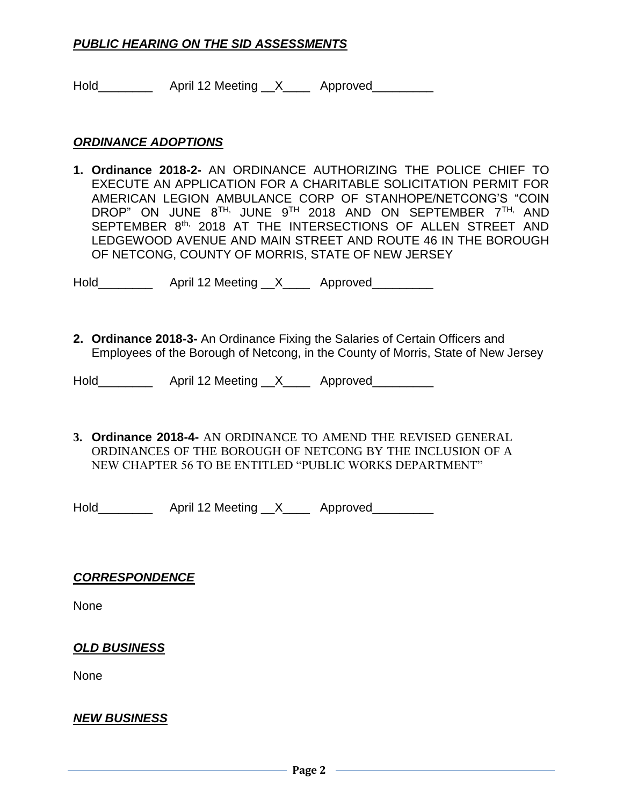## *PUBLIC HEARING ON THE SID ASSESSMENTS*

Hold\_\_\_\_\_\_\_\_\_\_\_\_ April 12 Meeting \_\_X\_\_\_\_\_ Approved\_\_\_\_\_\_\_\_\_

### *ORDINANCE ADOPTIONS*

**1. Ordinance 2018-2-** AN ORDINANCE AUTHORIZING THE POLICE CHIEF TO EXECUTE AN APPLICATION FOR A CHARITABLE SOLICITATION PERMIT FOR AMERICAN LEGION AMBULANCE CORP OF STANHOPE/NETCONG'S "COIN DROP" ON JUNE 8TH, JUNE 9TH 2018 AND ON SEPTEMBER 7TH, AND SEPTEMBER 8th, 2018 AT THE INTERSECTIONS OF ALLEN STREET AND LEDGEWOOD AVENUE AND MAIN STREET AND ROUTE 46 IN THE BOROUGH OF NETCONG, COUNTY OF MORRIS, STATE OF NEW JERSEY

Hold\_\_\_\_\_\_\_\_\_\_\_\_\_ April 12 Meeting \_\_X\_\_\_\_\_\_ Approved\_\_\_\_\_\_\_\_\_\_

**2. Ordinance 2018-3-** An Ordinance Fixing the Salaries of Certain Officers and Employees of the Borough of Netcong, in the County of Morris, State of New Jersey

Hold\_\_\_\_\_\_\_\_\_\_\_\_\_ April 12 Meeting \_\_X\_\_\_\_\_\_ Approved\_\_\_\_\_\_\_\_\_\_

**3. Ordinance 2018-4-** AN ORDINANCE TO AMEND THE REVISED GENERAL ORDINANCES OF THE BOROUGH OF NETCONG BY THE INCLUSION OF A NEW CHAPTER 56 TO BE ENTITLED "PUBLIC WORKS DEPARTMENT"

Hold April 12 Meeting X Approved

*CORRESPONDENCE*

None

### *OLD BUSINESS*

None

#### *NEW BUSINESS*